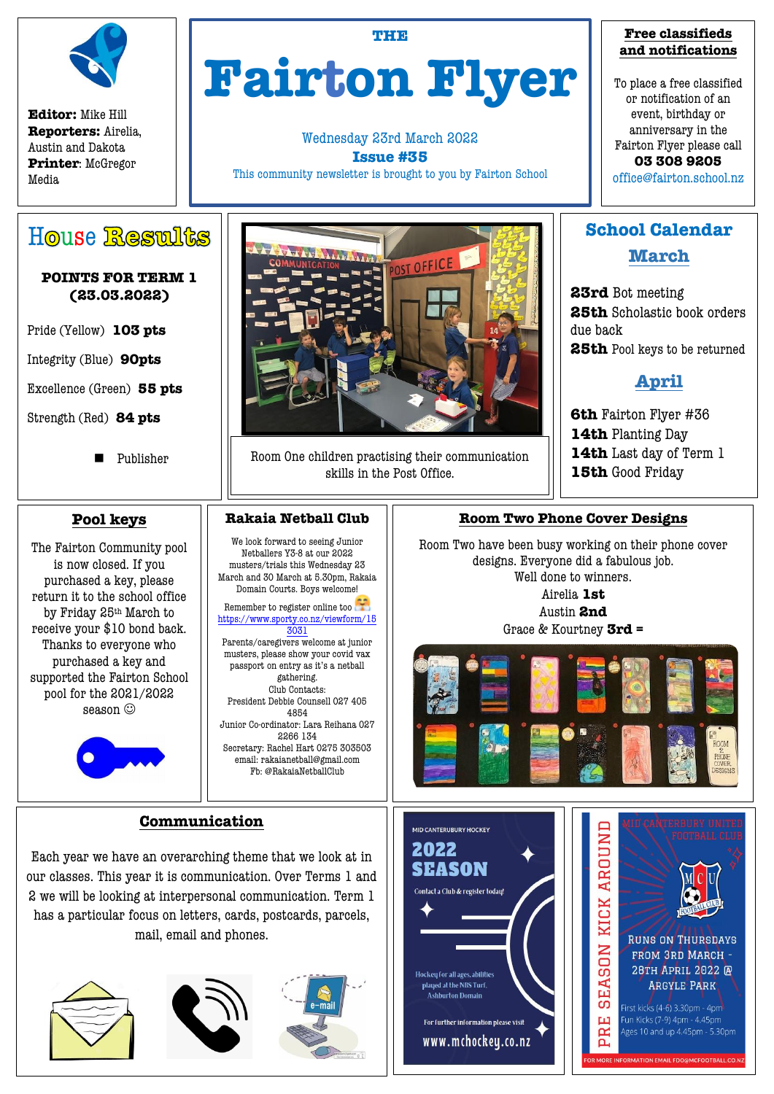

**Editor:** Mike Hill **Reporters:** Airelia, Austin and Dakota **Printer**: McGregor Media

### **THE**

# **Fairton Flyer**

Wednesday 23rd March 2022 **Issue #35**

This community newsletter is brought to you by Fairton School

## **Free classifieds and notifications**

To place a free classified or notification of an event, birthday or anniversary in the Fairton Flyer please call **03 308 9205** office@fairton.school.nz

# House Restults

## **POINTS FOR TERM 1 (23.03.2022)**

Pride (Yellow) **103 pts**

Integrity (Blue) **90pts**

Excellence (Green) **55 pts**

Strength (Red) **84 pts**

**Publisher** 

## **Pool keys**

The Fairton Community pool is now closed. If you purchased a key, please return it to the school office by Friday 25th March to receive your \$10 bond back. Thanks to everyone who purchased a key and supported the Fairton School pool for the 2021/2022 season  $\odot$ 



# POST OFFICE

Room One children practising their communication skills in the Post Office.

## **Rakaia Netball Club**

We look forward to seeing Junior Netballers Y3-8 at our 2022 musters/trials this Wednesday 23 March and 30 March at 5.30pm, Rakaia Domain Courts. Boys welcome!

Remember to register online too [https://www.sporty.co.nz/viewform/15](https://www.sporty.co.nz/viewform/153031?fbclid=IwAR31mF66CBla16N9G4QGMVYCVhZGIEHEsSEo7IRUBwq65JNYAEhYnxbpEqs) [3031](https://www.sporty.co.nz/viewform/153031?fbclid=IwAR31mF66CBla16N9G4QGMVYCVhZGIEHEsSEo7IRUBwq65JNYAEhYnxbpEqs)

Parents/caregivers welcome at junior musters, please show your covid vax passport on entry as it's a netball gathering. Club Contacts: President Debbie Counsell 027 405

4854 Junior Co-ordinator: Lara Reihana 027 2266 134 Secretary: Rachel Hart 0275 303503

email: rakaianetball@gmail.com Fb: @RakaiaNetballClub

## **Communication**

Each year we have an overarching theme that we look at in our classes. This year it is communication. Over Terms 1 and 2 we will be looking at interpersonal communication. Term 1 has a particular focus on letters, cards, postcards, parcels, mail, email and phones.







**School Calendar March**

**23rd** Bot meeting **25th** Scholastic book orders due back **25th** Pool keys to be returned

## **April**

**6th** Fairton Flyer #36 **14th** Planting Day **14th** Last day of Term 1 **15th** Good Friday

## **Room Two Phone Cover Designs**

Room Two have been busy working on their phone cover designs. Everyone did a fabulous job. Well done to winners. Airelia **1st** Austin **2nd**

Grace & Kourtney **3rd =**



2022 **SEASON** Contact a Club & register today! .<br>Hockey for all ages, abilities played at the NBS Turf. **Ashburton Domain** For further information please visit

www.mchockey.co.nz

MID CANTERUBURY HOCKEY



-<br>DR MORE INFORMATION EMAIL FDO@MCFOOTBALL.CO.NZ